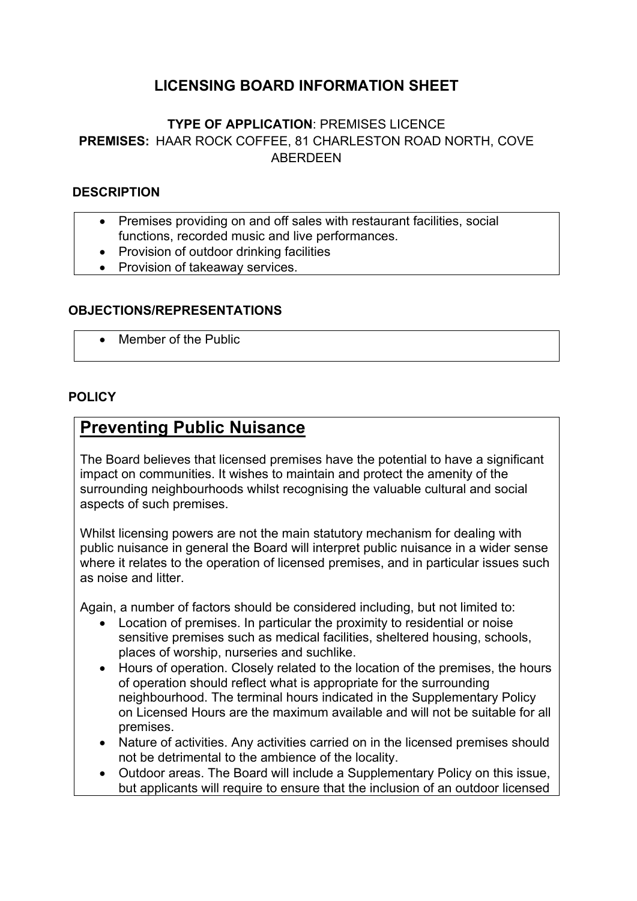## **LICENSING BOARD INFORMATION SHEET**

### **TYPE OF APPLICATION**: PREMISES LICENCE **PREMISES:** HAAR ROCK COFFEE, 81 CHARLESTON ROAD NORTH, COVE ABERDEEN

### **DESCRIPTION**

- Premises providing on and off sales with restaurant facilities, social functions, recorded music and live performances.
- Provision of outdoor drinking facilities
- Provision of takeaway services.

#### **OBJECTIONS/REPRESENTATIONS**

Member of the Public

#### **POLICY**

## **Preventing Public Nuisance**

The Board believes that licensed premises have the potential to have a significant impact on communities. It wishes to maintain and protect the amenity of the surrounding neighbourhoods whilst recognising the valuable cultural and social aspects of such premises.

Whilst licensing powers are not the main statutory mechanism for dealing with public nuisance in general the Board will interpret public nuisance in a wider sense where it relates to the operation of licensed premises, and in particular issues such as noise and litter.

Again, a number of factors should be considered including, but not limited to:

- Location of premises. In particular the proximity to residential or noise sensitive premises such as medical facilities, sheltered housing, schools, places of worship, nurseries and suchlike.
- Hours of operation. Closely related to the location of the premises, the hours of operation should reflect what is appropriate for the surrounding neighbourhood. The terminal hours indicated in the Supplementary Policy on Licensed Hours are the maximum available and will not be suitable for all premises.
- Nature of activities. Any activities carried on in the licensed premises should not be detrimental to the ambience of the locality.
- Outdoor areas. The Board will include a Supplementary Policy on this issue, but applicants will require to ensure that the inclusion of an outdoor licensed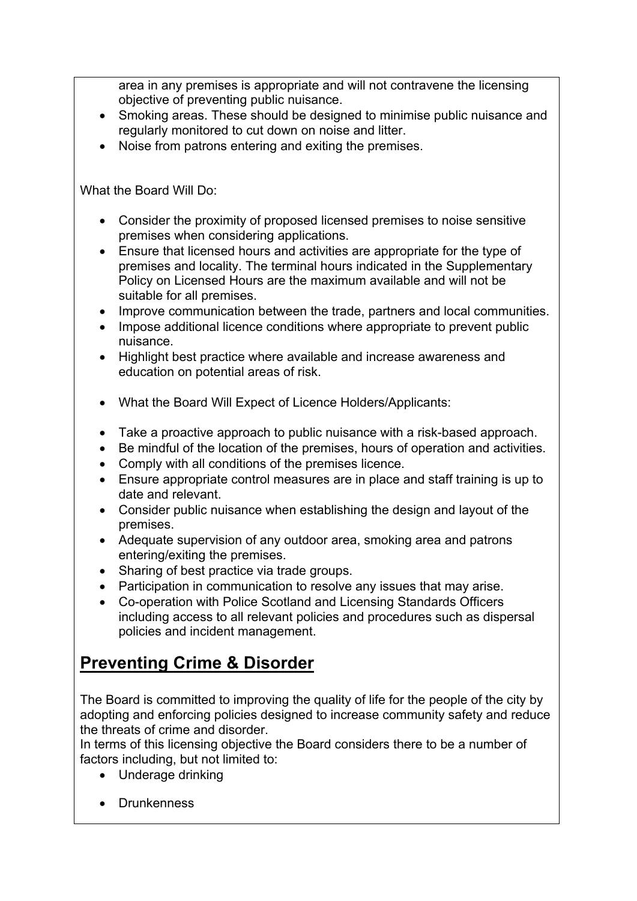area in any premises is appropriate and will not contravene the licensing objective of preventing public nuisance.

- Smoking areas. These should be designed to minimise public nuisance and regularly monitored to cut down on noise and litter.
- Noise from patrons entering and exiting the premises.

What the Board Will Do:

- Consider the proximity of proposed licensed premises to noise sensitive premises when considering applications.
- Ensure that licensed hours and activities are appropriate for the type of premises and locality. The terminal hours indicated in the Supplementary Policy on Licensed Hours are the maximum available and will not be suitable for all premises.
- Improve communication between the trade, partners and local communities.
- Impose additional licence conditions where appropriate to prevent public nuisance.
- Highlight best practice where available and increase awareness and education on potential areas of risk.
- What the Board Will Expect of Licence Holders/Applicants:
- Take a proactive approach to public nuisance with a risk-based approach.
- Be mindful of the location of the premises, hours of operation and activities.
- Comply with all conditions of the premises licence.
- Ensure appropriate control measures are in place and staff training is up to date and relevant.
- Consider public nuisance when establishing the design and layout of the premises.
- Adequate supervision of any outdoor area, smoking area and patrons entering/exiting the premises.
- Sharing of best practice via trade groups.
- Participation in communication to resolve any issues that may arise.
- Co-operation with Police Scotland and Licensing Standards Officers including access to all relevant policies and procedures such as dispersal policies and incident management.

# **Preventing Crime & Disorder**

The Board is committed to improving the quality of life for the people of the city by adopting and enforcing policies designed to increase community safety and reduce the threats of crime and disorder.

In terms of this licensing objective the Board considers there to be a number of factors including, but not limited to:

- Underage drinking
- Drunkenness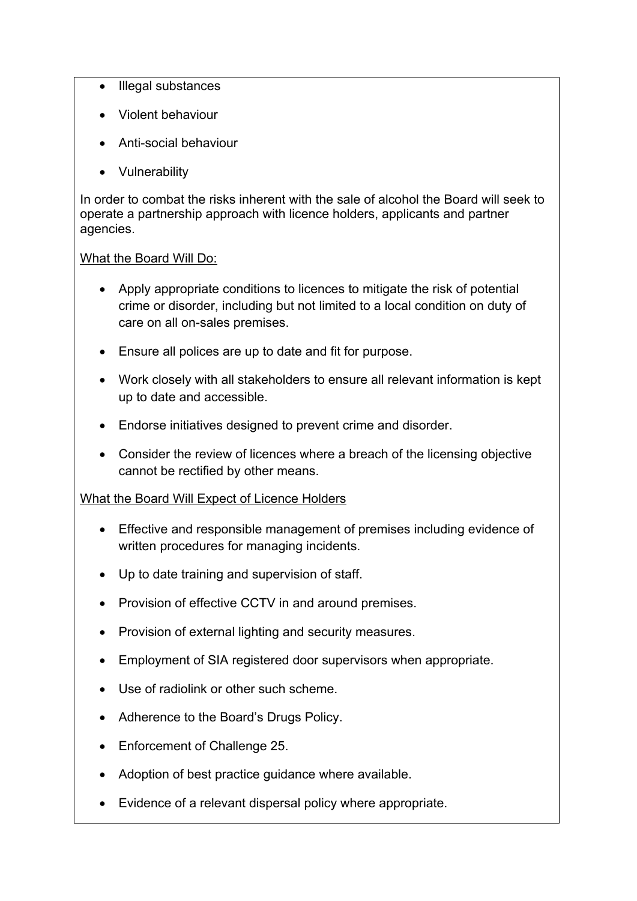- Illegal substances
- Violent behaviour
- Anti-social behaviour
- Vulnerability

In order to combat the risks inherent with the sale of alcohol the Board will seek to operate a partnership approach with licence holders, applicants and partner agencies.

### What the Board Will Do:

- Apply appropriate conditions to licences to mitigate the risk of potential crime or disorder, including but not limited to a local condition on duty of care on all on-sales premises.
- Ensure all polices are up to date and fit for purpose.
- Work closely with all stakeholders to ensure all relevant information is kept up to date and accessible.
- Endorse initiatives designed to prevent crime and disorder.
- Consider the review of licences where a breach of the licensing objective cannot be rectified by other means.

### What the Board Will Expect of Licence Holders

- Effective and responsible management of premises including evidence of written procedures for managing incidents.
- Up to date training and supervision of staff.
- Provision of effective CCTV in and around premises.
- Provision of external lighting and security measures.
- Employment of SIA registered door supervisors when appropriate.
- Use of radiolink or other such scheme.
- Adherence to the Board's Drugs Policy.
- Enforcement of Challenge 25.
- Adoption of best practice guidance where available.
- Evidence of a relevant dispersal policy where appropriate.